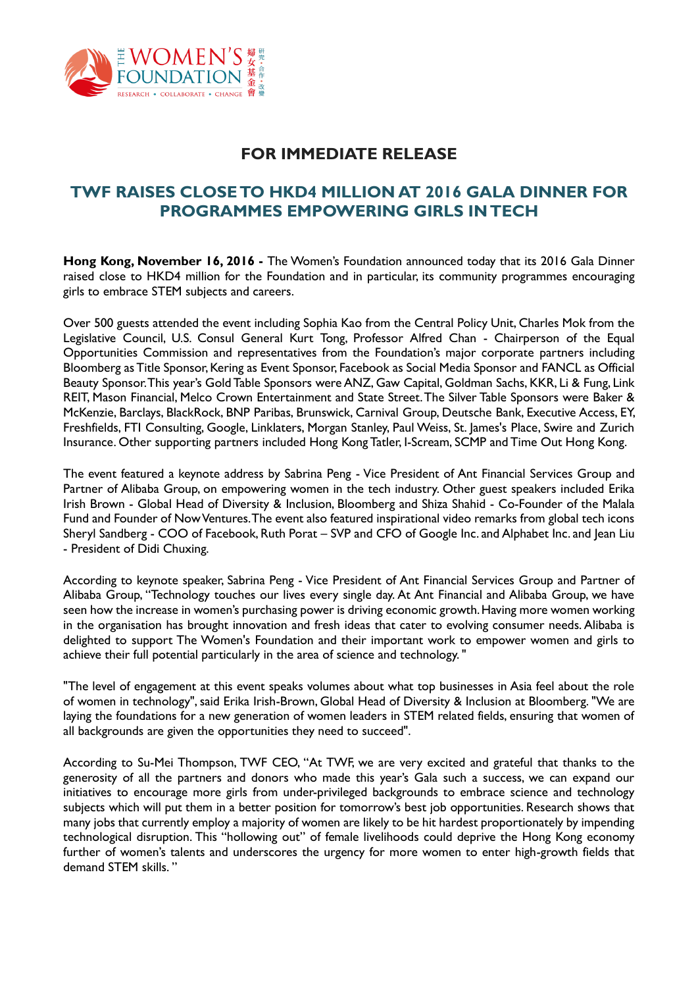

# **FOR IMMEDIATE RELEASE**

# **TWF RAISES CLOSE TO HKD4 MILLION AT 2016 GALA DINNER FOR PROGRAMMES EMPOWERING GIRLS IN TECH**

**Hong Kong, November 16, 2016 -** The Women's Foundation announced today that its 2016 Gala Dinner raised close to HKD4 million for the Foundation and in particular, its community programmes encouraging girls to embrace STEM subjects and careers.

Over 500 guests attended the event including Sophia Kao from the Central Policy Unit, Charles Mok from the Legislative Council, U.S. Consul General Kurt Tong, Professor Alfred Chan - Chairperson of the Equal Opportunities Commission and representatives from the Foundation's major corporate partners including Bloomberg as Title Sponsor, Kering as Event Sponsor, Facebook as Social Media Sponsor and FANCL as Official Beauty Sponsor. This year's Gold Table Sponsors were ANZ, Gaw Capital, Goldman Sachs, KKR, Li & Fung, Link REIT, Mason Financial, Melco Crown Entertainment and State Street. The Silver Table Sponsors were Baker & McKenzie, Barclays, BlackRock, BNP Paribas, Brunswick, Carnival Group, Deutsche Bank, Executive Access, EY, Freshfields, FTI Consulting, Google, Linklaters, Morgan Stanley, Paul Weiss, St. James's Place, Swire and Zurich Insurance. Other supporting partners included Hong Kong Tatler, I-Scream, SCMP and Time Out Hong Kong.

The event featured a keynote address by Sabrina Peng - Vice President of Ant Financial Services Group and Partner of Alibaba Group, on empowering women in the tech industry. Other guest speakers included Erika Irish Brown - Global Head of Diversity & Inclusion, Bloomberg and Shiza Shahid - Co-Founder of the Malala Fund and Founder of Now Ventures. The event also featured inspirational video remarks from global tech icons Sheryl Sandberg - COO of Facebook, Ruth Porat – SVP and CFO of Google Inc. and Alphabet Inc. and Jean Liu - President of Didi Chuxing.

According to keynote speaker, Sabrina Peng - Vice President of Ant Financial Services Group and Partner of Alibaba Group, "Technology touches our lives every single day. At Ant Financial and Alibaba Group, we have seen how the increase in women's purchasing power is driving economic growth. Having more women working in the organisation has brought innovation and fresh ideas that cater to evolving consumer needs. Alibaba is delighted to support The Women's Foundation and their important work to empower women and girls to achieve their full potential particularly in the area of science and technology. "

"The level of engagement at this event speaks volumes about what top businesses in Asia feel about the role of women in technology", said Erika Irish-Brown, Global Head of Diversity & Inclusion at Bloomberg. "We are laying the foundations for a new generation of women leaders in STEM related fields, ensuring that women of all backgrounds are given the opportunities they need to succeed".

According to Su-Mei Thompson, TWF CEO, "At TWF, we are very excited and grateful that thanks to the generosity of all the partners and donors who made this year's Gala such a success, we can expand our initiatives to encourage more girls from under-privileged backgrounds to embrace science and technology subjects which will put them in a better position for tomorrow's best job opportunities. Research shows that many jobs that currently employ a majority of women are likely to be hit hardest proportionately by impending technological disruption. This "hollowing out" of female livelihoods could deprive the Hong Kong economy further of women's talents and underscores the urgency for more women to enter high-growth fields that demand STEM skills. "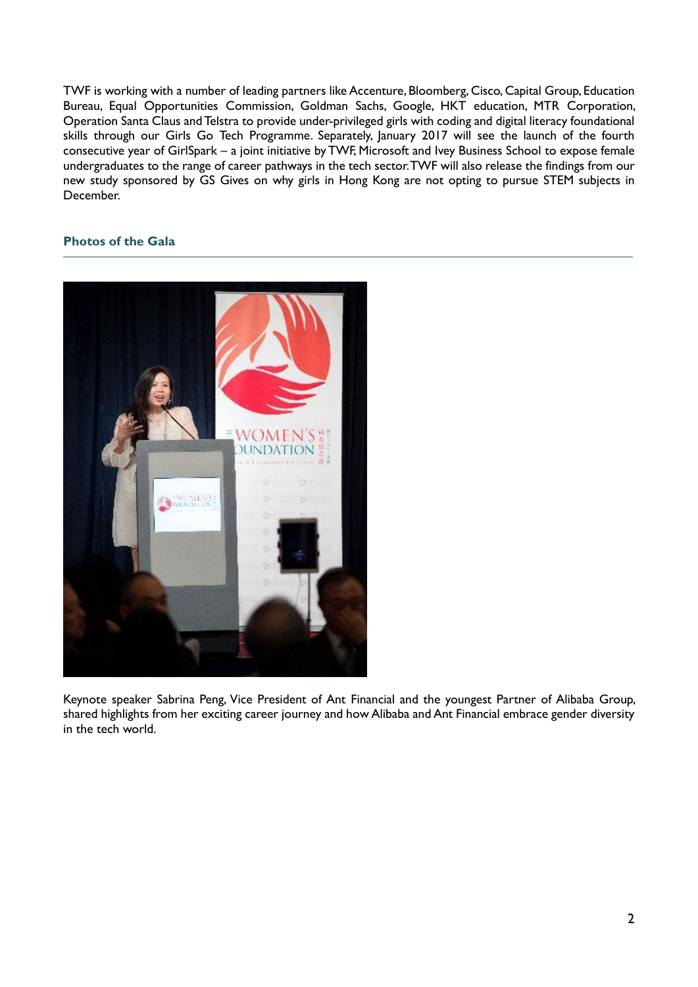TWF is working with a number of leading partners like Accenture, Bloomberg, Cisco, Capital Group, Education Bureau, Equal Opportunities Commission, Goldman Sachs, Google, HKT education, MTR Corporation, Operation Santa Claus and Telstra to provide under-privileged girls with coding and digital literacy foundational skills through our Girls Go Tech Programme. Separately, January 2017 will see the launch of the fourth consecutive year of GirlSpark – a joint initiative by TWF, Microsoft and Ivey Business School to expose female undergraduates to the range of career pathways in the tech sector.TWF will also release the findings from our new study sponsored by GS Gives on why girls in Hong Kong are not opting to pursue STEM subjects in December.

### **Photos of the Gala**



Keynote speaker Sabrina Peng, Vice President of Ant Financial and the youngest Partner of Alibaba Group, shared highlights from her exciting career journey and how Alibaba and Ant Financial embrace gender diversity in the tech world.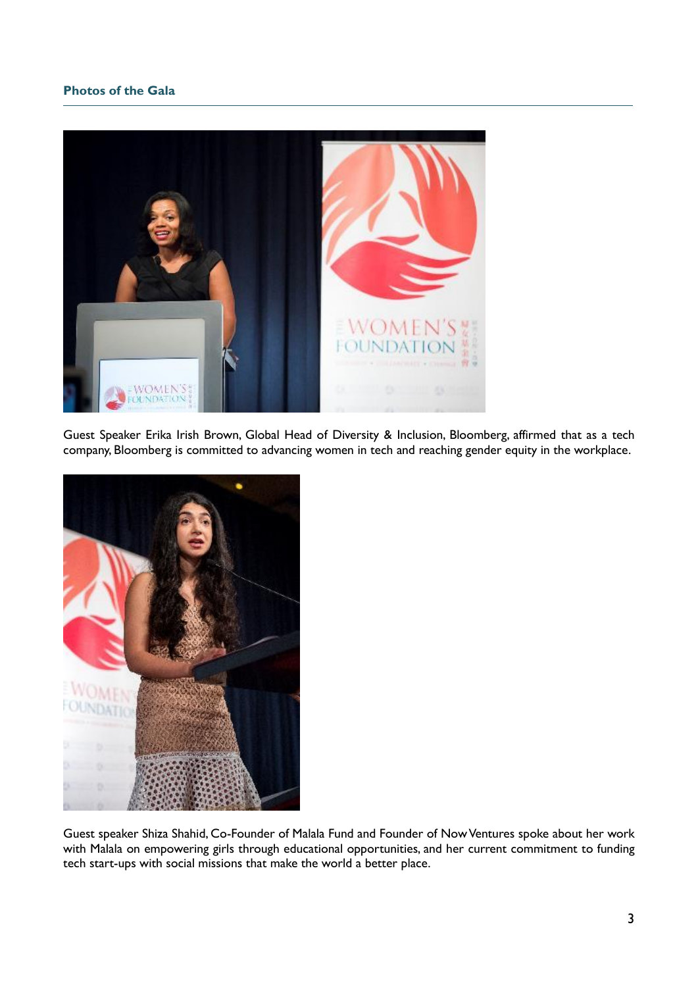### **Photos of the Gala**



Guest Speaker Erika Irish Brown, Global Head of Diversity & Inclusion, Bloomberg, affirmed that as a tech company, Bloomberg is committed to advancing women in tech and reaching gender equity in the workplace.



Guest speaker Shiza Shahid, Co-Founder of Malala Fund and Founder of Now Ventures spoke about her work with Malala on empowering girls through educational opportunities, and her current commitment to funding tech start-ups with social missions that make the world a better place.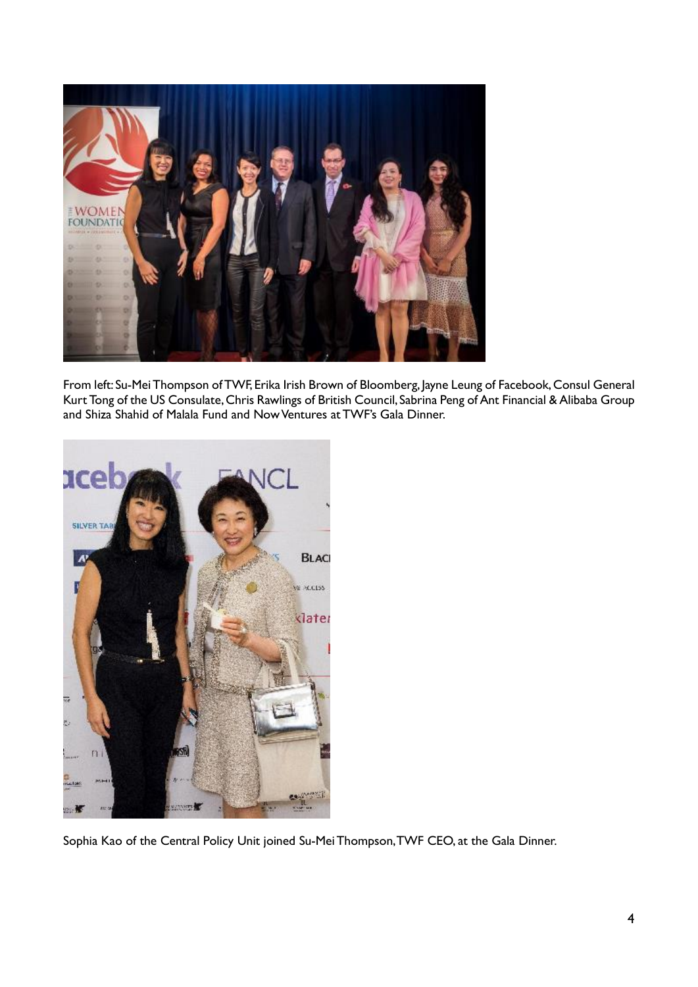

From left: Su-Mei Thompson of TWF, Erika Irish Brown of Bloomberg, Jayne Leung of Facebook, Consul General Kurt Tong of the US Consulate, Chris Rawlings of British Council, Sabrina Peng of Ant Financial & Alibaba Group and Shiza Shahid of Malala Fund and Now Ventures at TWF's Gala Dinner.



Sophia Kao of the Central Policy Unit joined Su-Mei Thompson, TWF CEO, at the Gala Dinner.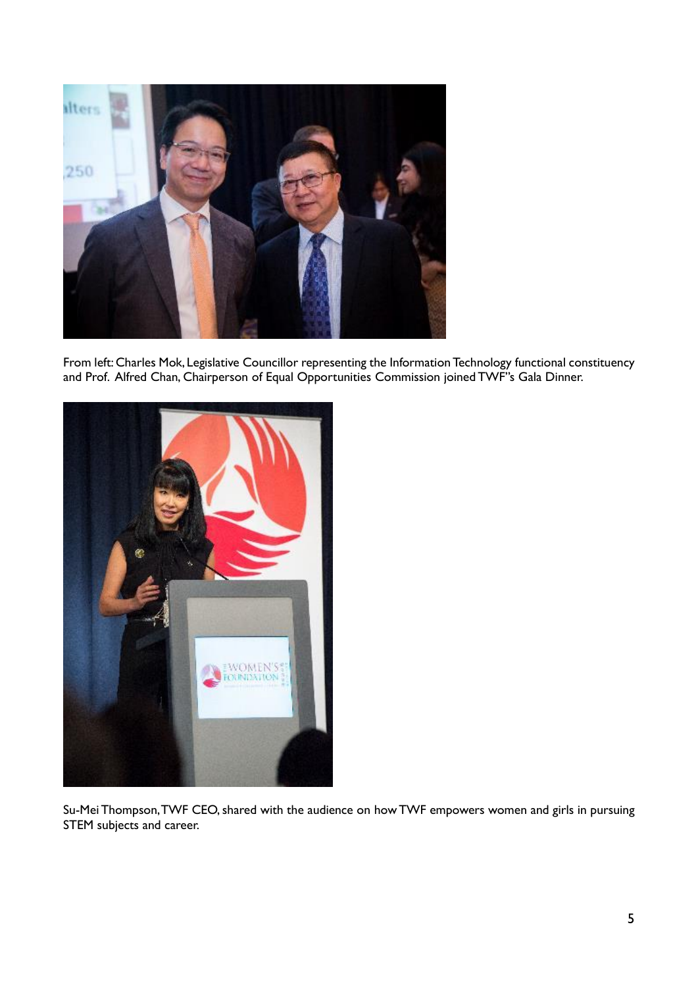

From left: Charles Mok, Legislative Councillor representing the Information Technology functional constituency and Prof. Alfred Chan, Chairperson of Equal Opportunities Commission joined TWF''s Gala Dinner.



Su-Mei Thompson, TWF CEO, shared with the audience on how TWF empowers women and girls in pursuing STEM subjects and career.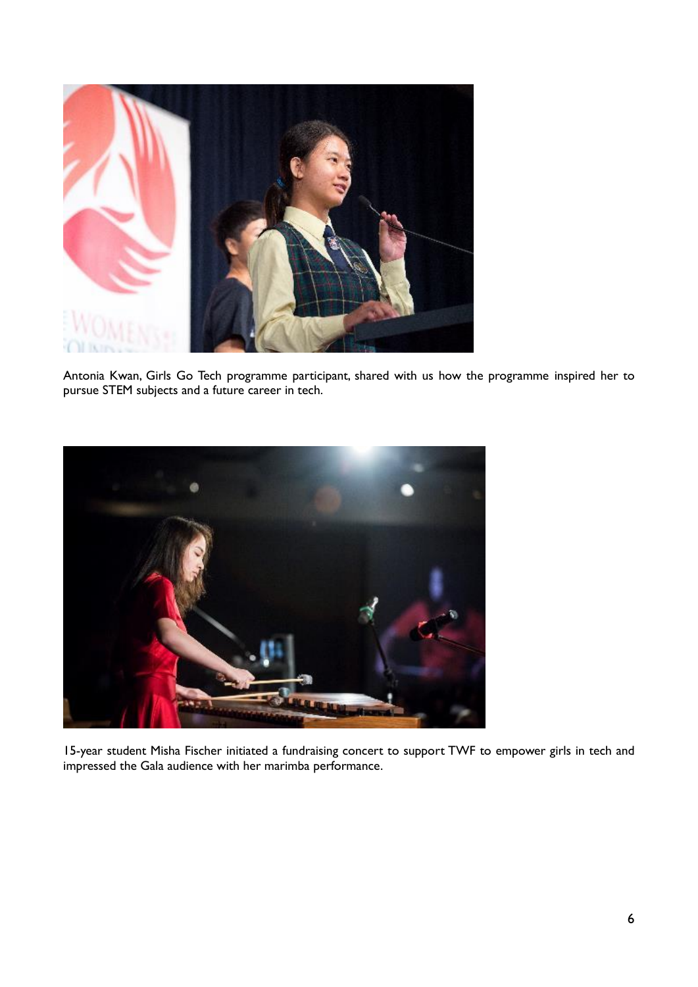

Antonia Kwan, Girls Go Tech programme participant, shared with us how the programme inspired her to pursue STEM subjects and a future career in tech.



15-year student Misha Fischer initiated a fundraising concert to support TWF to empower girls in tech and impressed the Gala audience with her marimba performance.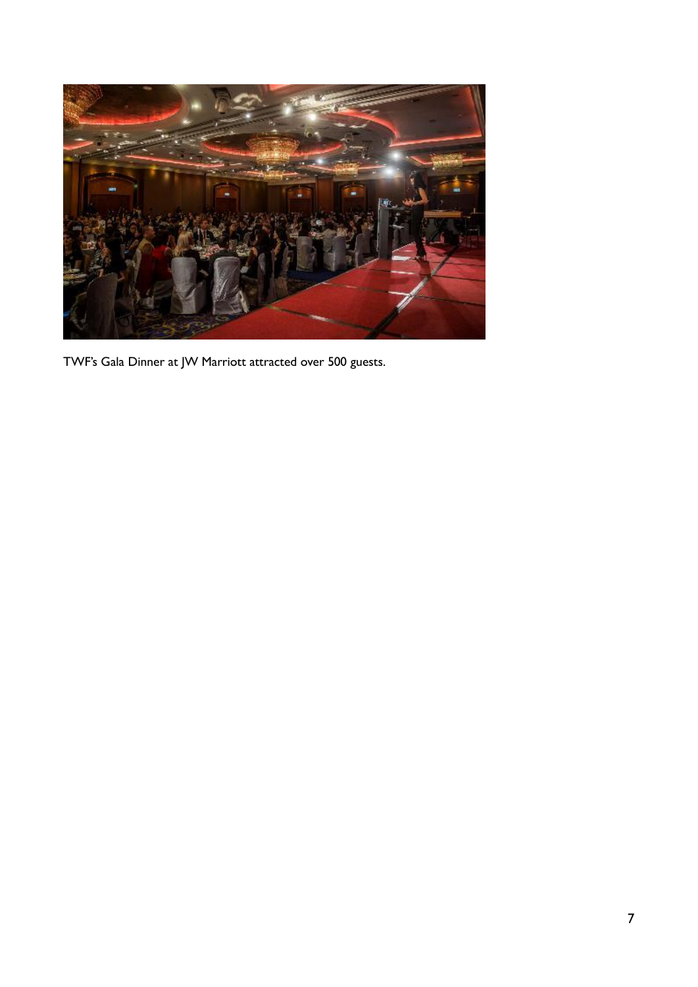

TWF's Gala Dinner at JW Marriott attracted over 500 guests.